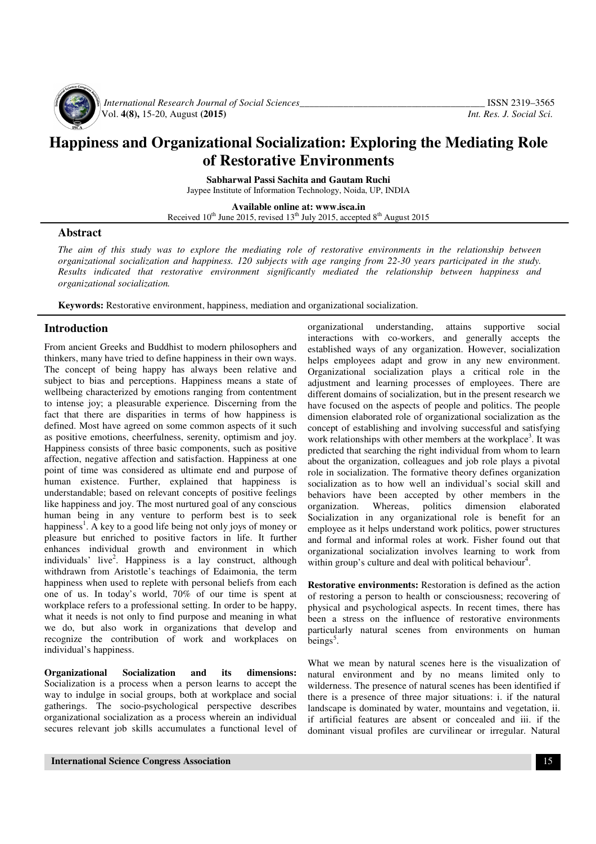

 *International Research Journal of Social Sciences\_\_\_\_\_\_\_\_\_\_\_\_\_\_\_\_\_\_\_\_\_\_\_\_\_\_\_\_\_\_\_\_\_\_\_\_\_\_* ISSN 2319–3565 Vol. **4(8),** 15-20, August **(2015)** *Int. Res. J. Social Sci.*

# **Happiness and Organizational Socialization: Exploring the Mediating Role of Restorative Environments**

**Sabharwal Passi Sachita and Gautam Ruchi** Jaypee Institute of Information Technology, Noida, UP, INDIA

**Available online at: www.isca.in**  Received  $10^{th}$  June 2015, revised  $13^{th}$  July 2015, accepted  $8^{th}$  August 2015

## **Abstract**

*The aim of this study was to explore the mediating role of restorative environments in the relationship between organizational socialization and happiness. 120 subjects with age ranging from 22-30 years participated in the study. Results indicated that restorative environment significantly mediated the relationship between happiness and organizational socialization.*

**Keywords:** Restorative environment, happiness, mediation and organizational socialization.

## **Introduction**

From ancient Greeks and Buddhist to modern philosophers and thinkers, many have tried to define happiness in their own ways. The concept of being happy has always been relative and subject to bias and perceptions. Happiness means a state of wellbeing characterized by emotions ranging from contentment to intense joy; a pleasurable experience*.* Discerning from the fact that there are disparities in terms of how happiness is defined. Most have agreed on some common aspects of it such as positive emotions, cheerfulness, serenity, optimism and joy. Happiness consists of three basic components, such as positive affection, negative affection and satisfaction. Happiness at one point of time was considered as ultimate end and purpose of human existence. Further, explained that happiness is understandable; based on relevant concepts of positive feelings like happiness and joy. The most nurtured goal of any conscious human being in any venture to perform best is to seek happiness<sup>1</sup>. A key to a good life being not only joys of money or pleasure but enriched to positive factors in life. It further enhances individual growth and environment in which individuals' live<sup>2</sup>. Happiness is a lay construct, although withdrawn from Aristotle's teachings of Edaimonia, the term happiness when used to replete with personal beliefs from each one of us. In today's world, 70% of our time is spent at workplace refers to a professional setting. In order to be happy, what it needs is not only to find purpose and meaning in what we do, but also work in organizations that develop and recognize the contribution of work and workplaces on individual's happiness.

**Organizational Socialization and its dimensions:**  Socialization is a process when a person learns to accept the way to indulge in social groups, both at workplace and social gatherings. The socio-psychological perspective describes organizational socialization as a process wherein an individual secures relevant job skills accumulates a functional level of

interactions with co-workers, and generally accepts the established ways of any organization. However, socialization helps employees adapt and grow in any new environment. Organizational socialization plays a critical role in the adjustment and learning processes of employees. There are different domains of socialization, but in the present research we have focused on the aspects of people and politics. The people dimension elaborated role of organizational socialization as the concept of establishing and involving successful and satisfying work relationships with other members at the workplace<sup>3</sup>. It was predicted that searching the right individual from whom to learn about the organization, colleagues and job role plays a pivotal role in socialization. The formative theory defines organization socialization as to how well an individual's social skill and behaviors have been accepted by other members in the organization. Whereas, politics dimension elaborated Socialization in any organizational role is benefit for an employee as it helps understand work politics, power structures and formal and informal roles at work. Fisher found out that organizational socialization involves learning to work from within group's culture and deal with political behaviour<sup>4</sup>.

organizational understanding, attains supportive social

**Restorative environments:** Restoration is defined as the action of restoring a person to health or consciousness; recovering of physical and psychological aspects. In recent times, there has been a stress on the influence of restorative environments particularly natural scenes from environments on human beings<sup>5</sup>.

What we mean by natural scenes here is the visualization of natural environment and by no means limited only to wilderness. The presence of natural scenes has been identified if there is a presence of three major situations: i. if the natural landscape is dominated by water, mountains and vegetation, ii. if artificial features are absent or concealed and iii. if the dominant visual profiles are curvilinear or irregular. Natural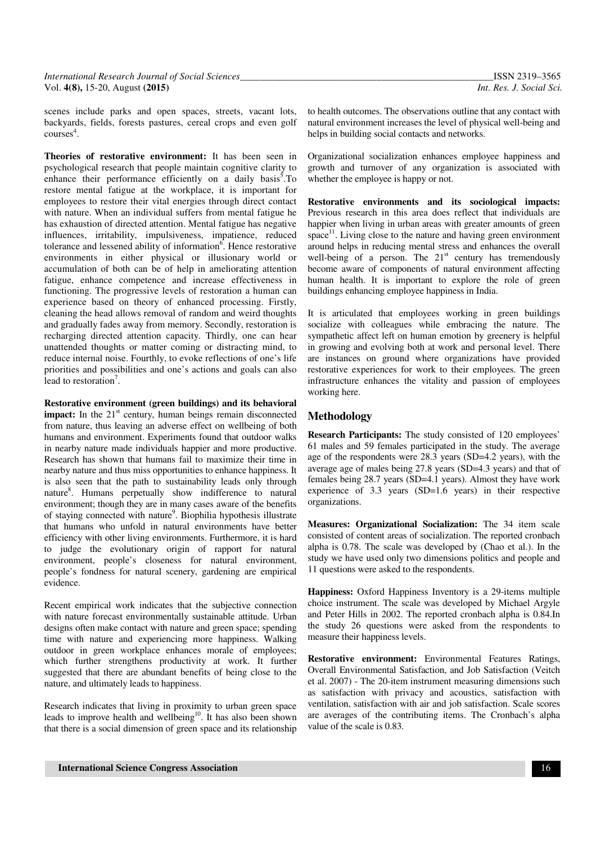scenes include parks and open spaces, streets, vacant lots, backyards, fields, forests pastures, cereal crops and even golf courses<sup>4</sup>.

**Theories of restorative environment:** It has been seen in psychological research that people maintain cognitive clarity to enhance their performance efficiently on a daily basis<sup>5</sup>. To restore mental fatigue at the workplace, it is important for employees to restore their vital energies through direct contact with nature. When an individual suffers from mental fatigue he has exhaustion of directed attention. Mental fatigue has negative influences, irritability, impulsiveness, impatience, reduced tolerance and lessened ability of information $6$ . Hence restorative environments in either physical or illusionary world or accumulation of both can be of help in ameliorating attention fatigue, enhance competence and increase effectiveness in functioning. The progressive levels of restoration a human can experience based on theory of enhanced processing. Firstly, cleaning the head allows removal of random and weird thoughts and gradually fades away from memory. Secondly, restoration is recharging directed attention capacity. Thirdly, one can hear unattended thoughts or matter coming or distracting mind, to reduce internal noise. Fourthly, to evoke reflections of one's life priorities and possibilities and one's actions and goals can also lead to restoration<sup>7</sup>.

**Restorative environment (green buildings) and its behavioral impact:** In the 21<sup>st</sup> century, human beings remain disconnected from nature, thus leaving an adverse effect on wellbeing of both humans and environment. Experiments found that outdoor walks in nearby nature made individuals happier and more productive. Research has shown that humans fail to maximize their time in nearby nature and thus miss opportunities to enhance happiness. It is also seen that the path to sustainability leads only through nature<sup>8</sup> . Humans perpetually show indifference to natural environment; though they are in many cases aware of the benefits of staying connected with nature<sup>9</sup>. Biophilia hypothesis illustrate that humans who unfold in natural environments have better efficiency with other living environments. Furthermore, it is hard to judge the evolutionary origin of rapport for natural environment, people's closeness for natural environment, people's fondness for natural scenery, gardening are empirical evidence.

Recent empirical work indicates that the subjective connection with nature forecast environmentally sustainable attitude. Urban designs often make contact with nature and green space; spending time with nature and experiencing more happiness. Walking outdoor in green workplace enhances morale of employees; which further strengthens productivity at work. It further suggested that there are abundant benefits of being close to the nature, and ultimately leads to happiness.

Research indicates that living in proximity to urban green space leads to improve health and wellbeing<sup>10</sup>. It has also been shown that there is a social dimension of green space and its relationship to health outcomes. The observations outline that any contact with natural environment increases the level of physical well-being and helps in building social contacts and networks.

Organizational socialization enhances employee happiness and growth and turnover of any organization is associated with whether the employee is happy or not.

**Restorative environments and its sociological impacts:**  Previous research in this area does reflect that individuals are happier when living in urban areas with greater amounts of green space $^{11}$ . Living close to the nature and having green environment around helps in reducing mental stress and enhances the overall well-being of a person. The  $21<sup>st</sup>$  century has tremendously become aware of components of natural environment affecting human health. It is important to explore the role of green buildings enhancing employee happiness in India.

It is articulated that employees working in green buildings socialize with colleagues while embracing the nature. The sympathetic affect left on human emotion by greenery is helpful in growing and evolving both at work and personal level. There are instances on ground where organizations have provided restorative experiences for work to their employees. The green infrastructure enhances the vitality and passion of employees working here.

## **Methodology**

**Research Participants:** The study consisted of 120 employees' 61 males and 59 females participated in the study. The average age of the respondents were 28.3 years (SD=4.2 years), with the average age of males being 27.8 years (SD=4.3 years) and that of females being 28.7 years (SD=4.1 years). Almost they have work experience of 3.3 years (SD=1.6 years) in their respective organizations.

**Measures: Organizational Socialization:** The 34 item scale consisted of content areas of socialization. The reported cronbach alpha is 0.78. The scale was developed by (Chao et al.). In the study we have used only two dimensions politics and people and 11 questions were asked to the respondents.

**Happiness:** Oxford Happiness Inventory is a 29-items multiple choice instrument. The scale was developed by Michael Argyle and Peter Hills in 2002. The reported cronbach alpha is 0.84.In the study 26 questions were asked from the respondents to measure their happiness levels.

**Restorative environment:** Environmental Features Ratings, Overall Environmental Satisfaction, and Job Satisfaction (Veitch et al. 2007) - The 20-item instrument measuring dimensions such as satisfaction with privacy and acoustics, satisfaction with ventilation, satisfaction with air and job satisfaction. Scale scores are averages of the contributing items. The Cronbach's alpha value of the scale is 0.83.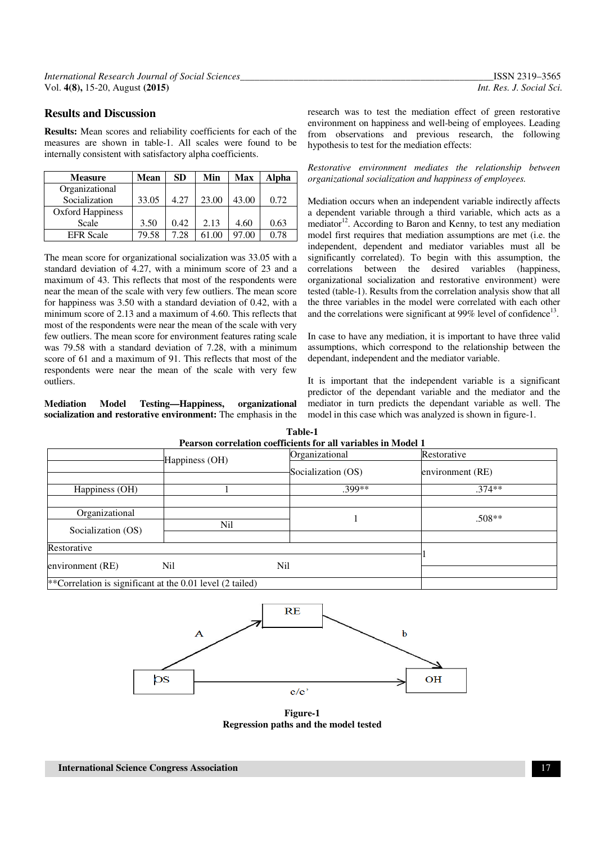## **Results and Discussion**

**Results:** Mean scores and reliability coefficients for each of the measures are shown in table-1. All scales were found to be internally consistent with satisfactory alpha coefficients.

| <b>Measure</b>          | Mean  | <b>SD</b> | Min   | <b>Max</b> | <b>Alpha</b> |
|-------------------------|-------|-----------|-------|------------|--------------|
| Organizational          |       |           |       |            |              |
| Socialization           | 33.05 | 4.27      | 23.00 | 43.00      | 0.72         |
| <b>Oxford Happiness</b> |       |           |       |            |              |
| Scale                   | 3.50  | 0.42      | 2.13  | 4.60       | 0.63         |
| <b>EFR</b> Scale        | 79.58 | 7.28      |       | 97.00      | 0.78         |

The mean score for organizational socialization was 33.05 with a standard deviation of 4.27, with a minimum score of 23 and a maximum of 43. This reflects that most of the respondents were near the mean of the scale with very few outliers. The mean score for happiness was 3.50 with a standard deviation of 0.42, with a minimum score of 2.13 and a maximum of 4.60. This reflects that most of the respondents were near the mean of the scale with very few outliers. The mean score for environment features rating scale was 79.58 with a standard deviation of 7.28, with a minimum score of 61 and a maximum of 91. This reflects that most of the respondents were near the mean of the scale with very few outliers.

#### **Mediation Model Testing—Happiness, organizational socialization and restorative environment:** The emphasis in the

research was to test the mediation effect of green restorative environment on happiness and well-being of employees. Leading from observations and previous research, the following hypothesis to test for the mediation effects:

*Restorative environment mediates the relationship between organizational socialization and happiness of employees.* 

Mediation occurs when an independent variable indirectly affects a dependent variable through a third variable, which acts as a mediator<sup>12</sup>. According to Baron and Kenny, to test any mediation model first requires that mediation assumptions are met (i.e. the independent, dependent and mediator variables must all be significantly correlated). To begin with this assumption, the correlations between the desired variables (happiness, organizational socialization and restorative environment) were tested (table-1). Results from the correlation analysis show that all the three variables in the model were correlated with each other and the correlations were significant at 99% level of confidence<sup>13</sup>.

In case to have any mediation, it is important to have three valid assumptions, which correspond to the relationship between the dependant, independent and the mediator variable.

It is important that the independent variable is a significant predictor of the dependant variable and the mediator and the mediator in turn predicts the dependant variable as well. The model in this case which was analyzed is shown in figure-1.

|                                |                                                             | Pearson correlation coefficients for all variables in Model 1 |                  |
|--------------------------------|-------------------------------------------------------------|---------------------------------------------------------------|------------------|
|                                | Happiness (OH)                                              | Organizational                                                | Restorative      |
|                                |                                                             | Socialization (OS)                                            | environment (RE) |
| Happiness (OH)                 |                                                             | $.399**$                                                      | $.374**$         |
| Organizational                 |                                                             |                                                               | $.508**$         |
| Socialization (OS)             | Nil                                                         |                                                               |                  |
| Restorative                    |                                                             |                                                               |                  |
| Nil<br>Nil<br>environment (RE) |                                                             |                                                               |                  |
|                                | **Correlation is significant at the $0.01$ level (2 tailed) |                                                               |                  |

**Table-1** 



**Figure-1 Regression paths and the model tested**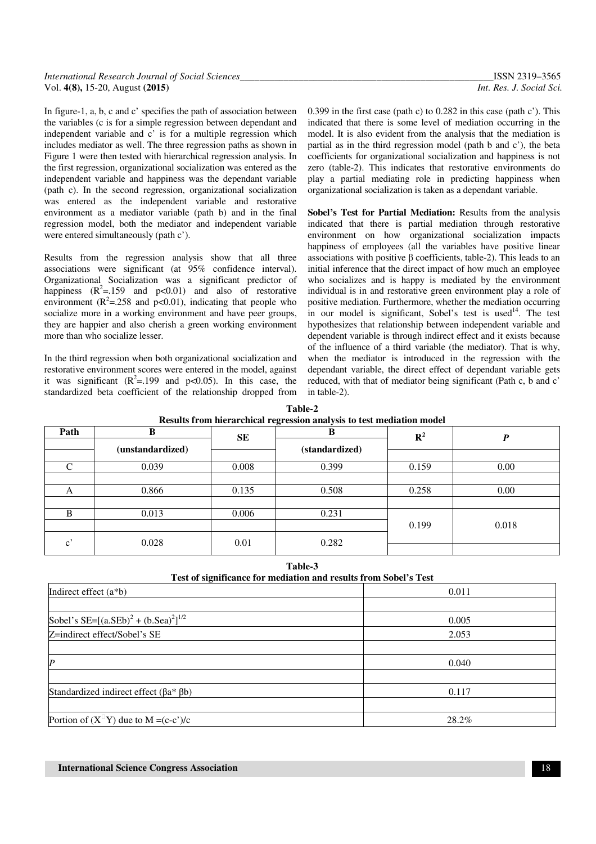| International Research Journal of Social Sciences | ISSN 2319-3565           |
|---------------------------------------------------|--------------------------|
| Vol. 4(8), 15-20, August ( <b>2015</b> )          | Int. Res. J. Social Sci. |

In figure-1, a, b, c and c' specifies the path of association between the variables (c is for a simple regression between dependant and independent variable and c' is for a multiple regression which includes mediator as well. The three regression paths as shown in Figure 1 were then tested with hierarchical regression analysis. In the first regression, organizational socialization was entered as the independent variable and happiness was the dependant variable (path c). In the second regression, organizational socialization was entered as the independent variable and restorative environment as a mediator variable (path b) and in the final regression model, both the mediator and independent variable were entered simultaneously (path c').

Results from the regression analysis show that all three associations were significant (at 95% confidence interval). Organizational Socialization was a significant predictor of happiness  $(R^2 = .159$  and  $p < 0.01$ ) and also of restorative environment ( $R^2$ =.258 and  $p$ <0.01), indicating that people who socialize more in a working environment and have peer groups, they are happier and also cherish a green working environment more than who socialize lesser.

In the third regression when both organizational socialization and restorative environment scores were entered in the model, against it was significant  $(R^2 = .199)$  and p<0.05). In this case, the standardized beta coefficient of the relationship dropped from 0.399 in the first case (path c) to 0.282 in this case (path c'). This indicated that there is some level of mediation occurring in the model. It is also evident from the analysis that the mediation is partial as in the third regression model (path b and c'), the beta coefficients for organizational socialization and happiness is not zero (table-2). This indicates that restorative environments do play a partial mediating role in predicting happiness when organizational socialization is taken as a dependant variable.

**Sobel's Test for Partial Mediation:** Results from the analysis indicated that there is partial mediation through restorative environment on how organizational socialization impacts happiness of employees (all the variables have positive linear associations with positive β coefficients, table-2). This leads to an initial inference that the direct impact of how much an employee who socializes and is happy is mediated by the environment individual is in and restorative green environment play a role of positive mediation. Furthermore, whether the mediation occurring in our model is significant, Sobel's test is used<sup>14</sup>. The test hypothesizes that relationship between independent variable and dependent variable is through indirect effect and it exists because of the influence of a third variable (the mediator). That is why, when the mediator is introduced in the regression with the dependant variable, the direct effect of dependant variable gets reduced, with that of mediator being significant (Path c, b and c' in table-2).

| Table-2                                                               |
|-----------------------------------------------------------------------|
| Results from hierarchical regression analysis to test mediation model |

| Path                  | B                | SE    | $\tilde{}$<br>B | ${\bf R}^2$ | D     |
|-----------------------|------------------|-------|-----------------|-------------|-------|
|                       | (unstandardized) |       | (standardized)  |             |       |
|                       |                  |       |                 |             |       |
| ⌒                     | 0.039            | 0.008 | 0.399           | 0.159       | 0.00  |
|                       |                  |       |                 |             |       |
| A                     | 0.866            | 0.135 | 0.508           | 0.258       | 0.00  |
|                       |                  |       |                 |             |       |
| B                     | 0.013            | 0.006 | 0.231           |             |       |
|                       |                  |       |                 | 0.199       | 0.018 |
| $\mathbf{c}^{\prime}$ | 0.028            | 0.01  | 0.282           |             |       |
|                       |                  |       |                 |             |       |

**Table-3** 

| Test of significance for mediation and results from Sobel's Test         |       |  |  |
|--------------------------------------------------------------------------|-------|--|--|
| Indirect effect $(a * b)$                                                | 0.011 |  |  |
|                                                                          |       |  |  |
| Sobel's SE=[(a.SEb) <sup>2</sup> + (b.Sea) <sup>2</sup> ] <sup>1/2</sup> | 0.005 |  |  |
| Z=indirect effect/Sobel's SE                                             | 2.053 |  |  |
|                                                                          |       |  |  |
| $\boldsymbol{P}$                                                         | 0.040 |  |  |
|                                                                          |       |  |  |
| Standardized indirect effect $(\beta a^* \beta b)$                       | 0.117 |  |  |
|                                                                          |       |  |  |
| Portion of $(X^{\square}Y)$ due to M = (c-c')/c                          | 28.2% |  |  |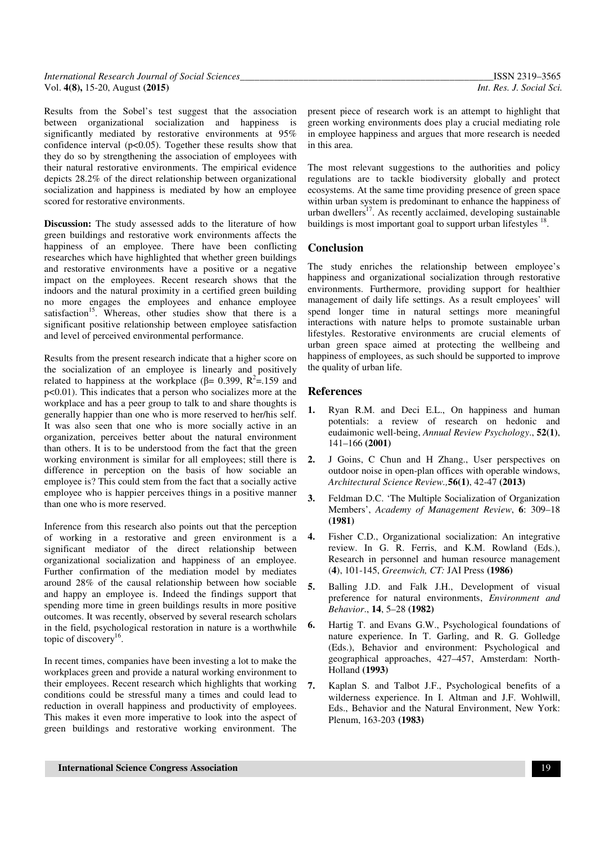| International Research Journal of Social Sciences_ | ISSN 2319-3565           |
|----------------------------------------------------|--------------------------|
| Vol. 4(8), 15-20, August (2015)                    | Int. Res. J. Social Sci. |

Results from the Sobel's test suggest that the association between organizational socialization and happiness is significantly mediated by restorative environments at 95% confidence interval  $(p<0.05)$ . Together these results show that they do so by strengthening the association of employees with their natural restorative environments. The empirical evidence depicts 28.2% of the direct relationship between organizational socialization and happiness is mediated by how an employee scored for restorative environments.

**Discussion:** The study assessed adds to the literature of how green buildings and restorative work environments affects the happiness of an employee. There have been conflicting researches which have highlighted that whether green buildings and restorative environments have a positive or a negative impact on the employees. Recent research shows that the indoors and the natural proximity in a certified green building no more engages the employees and enhance employee satisfaction<sup>15</sup>. Whereas, other studies show that there is a significant positive relationship between employee satisfaction and level of perceived environmental performance.

Results from the present research indicate that a higher score on the socialization of an employee is linearly and positively related to happiness at the workplace ( $\beta$ = 0.399, R<sup>2</sup>=.159 and p<0.01). This indicates that a person who socializes more at the workplace and has a peer group to talk to and share thoughts is generally happier than one who is more reserved to her/his self. It was also seen that one who is more socially active in an organization, perceives better about the natural environment than others. It is to be understood from the fact that the green working environment is similar for all employees; still there is difference in perception on the basis of how sociable an employee is? This could stem from the fact that a socially active employee who is happier perceives things in a positive manner than one who is more reserved.

Inference from this research also points out that the perception of working in a restorative and green environment is a significant mediator of the direct relationship between organizational socialization and happiness of an employee. Further confirmation of the mediation model by mediates around 28% of the causal relationship between how sociable and happy an employee is. Indeed the findings support that spending more time in green buildings results in more positive outcomes. It was recently, observed by several research scholars in the field, psychological restoration in nature is a worthwhile topic of discovery<sup>16</sup>.

In recent times, companies have been investing a lot to make the workplaces green and provide a natural working environment to their employees. Recent research which highlights that working conditions could be stressful many a times and could lead to reduction in overall happiness and productivity of employees. This makes it even more imperative to look into the aspect of green buildings and restorative working environment. The

present piece of research work is an attempt to highlight that green working environments does play a crucial mediating role in employee happiness and argues that more research is needed in this area.

The most relevant suggestions to the authorities and policy regulations are to tackle biodiversity globally and protect ecosystems. At the same time providing presence of green space within urban system is predominant to enhance the happiness of urban dwellers<sup>17</sup>. As recently acclaimed, developing sustainable buildings is most important goal to support urban lifestyles <sup>18</sup>.

#### **Conclusion**

The study enriches the relationship between employee's happiness and organizational socialization through restorative environments. Furthermore, providing support for healthier management of daily life settings. As a result employees' will spend longer time in natural settings more meaningful interactions with nature helps to promote sustainable urban lifestyles. Restorative environments are crucial elements of urban green space aimed at protecting the wellbeing and happiness of employees, as such should be supported to improve the quality of urban life.

#### **References**

- **1.** Ryan R.M. and Deci E.L., On happiness and human potentials: a review of research on hedonic and eudaimonic well-being, *Annual Review Psychology*., **52(1)**, 141–166 **(2001)**
- **2.** J Goins, C Chun and H Zhang., User perspectives on outdoor noise in open-plan offices with operable windows, *Architectural Science Review.,***56(1)**, 42-47 **(2013)**
- **3.** Feldman D.C. 'The Multiple Socialization of Organization Members', *Academy of Management Review*, **6**: 309–18 **(1981)**
- **4.** Fisher C.D., Organizational socialization: An integrative review. In G. R. Ferris, and K.M. Rowland (Eds.), Research in personnel and human resource management (**4**), 101-145, *Greenwich, CT:* JAI Press **(1986)**
- **5.** Balling J.D. and Falk J.H., Development of visual preference for natural environments, *Environment and Behavior*., **14**, 5–28 **(1982)**
- **6.** Hartig T. and Evans G.W., Psychological foundations of nature experience. In T. Garling, and R. G. Golledge (Eds.), Behavior and environment: Psychological and geographical approaches, 427–457, Amsterdam: North-Holland **(1993)**
- **7.** Kaplan S. and Talbot J.F., Psychological benefits of a wilderness experience. In I. Altman and J.F. Wohlwill, Eds., Behavior and the Natural Environment, New York: Plenum, 163-203 **(1983)**